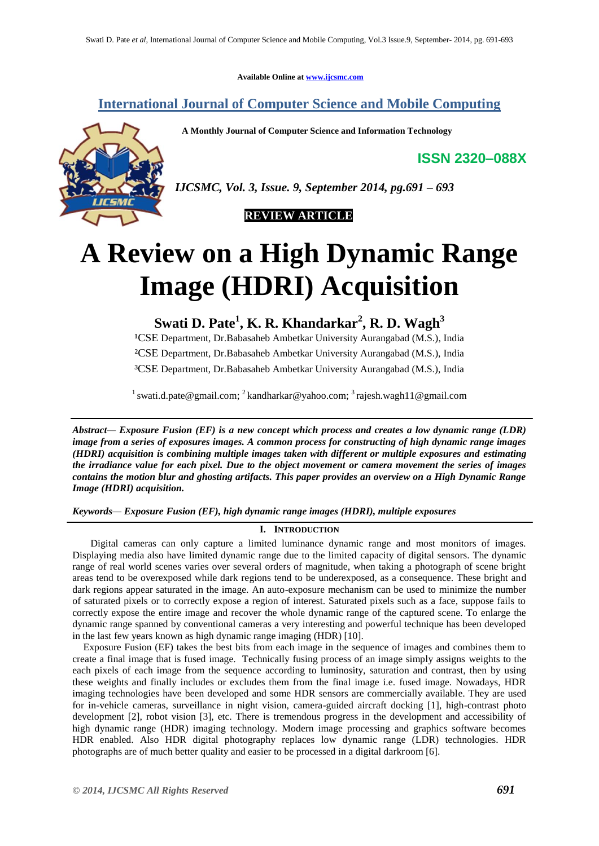**Available Online at [www.ijcsmc.com](http://www.ijcsmc.com/)**

## **International Journal of Computer Science and Mobile Computing**

 **A Monthly Journal of Computer Science and Information Technology**

**ISSN 2320–088X**



*IJCSMC, Vol. 3, Issue. 9, September 2014, pg.691 – 693*

 **REVIEW ARTICLE**

# **A Review on a High Dynamic Range Image (HDRI) Acquisition**

**Swati D. Pate<sup>1</sup> , K. R. Khandarkar<sup>2</sup> , R. D. Wagh<sup>3</sup>**

<sup>1</sup>CSE Department, Dr.Babasaheb Ambetkar University Aurangabad (M.S.), India ²CSE Department, Dr.Babasaheb Ambetkar University Aurangabad (M.S.), India ³CSE Department, Dr.Babasaheb Ambetkar University Aurangabad (M.S.), India

<sup>1</sup> swati.d.pate@gmail.com; <sup>2</sup> kandharkar@yahoo.com; <sup>3</sup> rajesh.wagh11@gmail.com

*Abstract— Exposure Fusion (EF) is a new concept which process and creates a low dynamic range (LDR) image from a series of exposures images. A common process for constructing of high dynamic range images (HDRI) acquisition is combining multiple images taken with different or multiple exposures and estimating the irradiance value for each pixel. Due to the object movement or camera movement the series of images contains the motion blur and ghosting artifacts. This paper provides an overview on a High Dynamic Range Image (HDRI) acquisition.*

*Keywords— Exposure Fusion (EF), high dynamic range images (HDRI), multiple exposures*

### **I. INTRODUCTION**

Digital cameras can only capture a limited luminance dynamic range and most monitors of images. Displaying media also have limited dynamic range due to the limited capacity of digital sensors. The dynamic range of real world scenes varies over several orders of magnitude, when taking a photograph of scene bright areas tend to be overexposed while dark regions tend to be underexposed, as a consequence. These bright and dark regions appear saturated in the image. An auto-exposure mechanism can be used to minimize the number of saturated pixels or to correctly expose a region of interest. Saturated pixels such as a face, suppose fails to correctly expose the entire image and recover the whole dynamic range of the captured scene. To enlarge the dynamic range spanned by conventional cameras a very interesting and powerful technique has been developed in the last few years known as high dynamic range imaging (HDR) [10].

Exposure Fusion (EF) takes the best bits from each image in the sequence of images and combines them to create a final image that is fused image. Technically fusing process of an image simply assigns weights to the each pixels of each image from the sequence according to luminosity, saturation and contrast, then by using these weights and finally includes or excludes them from the final image i.e. fused image. Nowadays, HDR imaging technologies have been developed and some HDR sensors are commercially available. They are used for in-vehicle cameras, surveillance in night vision, camera-guided aircraft docking [1], high-contrast photo development [2], robot vision [3], etc. There is tremendous progress in the development and accessibility of high dynamic range (HDR) imaging technology. Modern image processing and graphics software becomes HDR enabled. Also HDR digital photography replaces low dynamic range (LDR) technologies. HDR photographs are of much better quality and easier to be processed in a digital darkroom [6].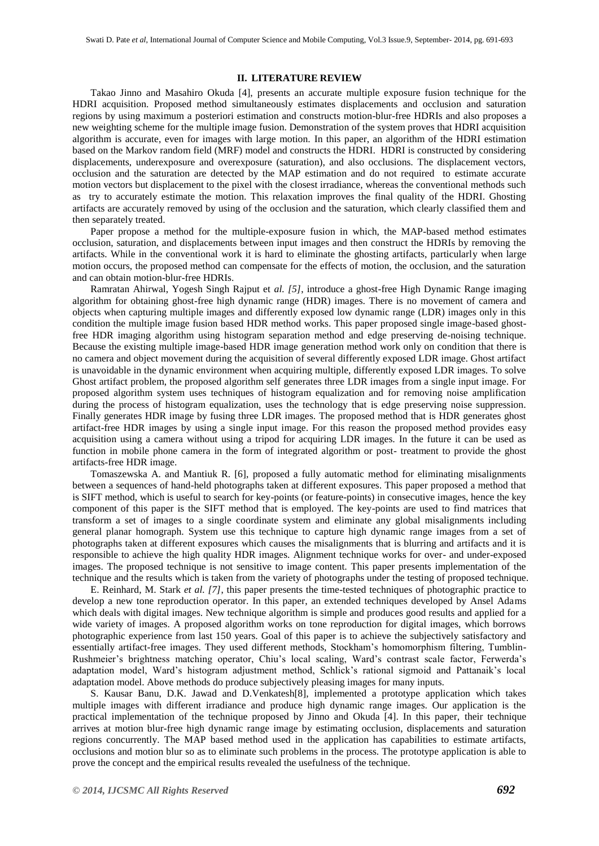#### **II. LITERATURE REVIEW**

Takao Jinno and Masahiro Okuda [4], presents an accurate multiple exposure fusion technique for the HDRI acquisition. Proposed method simultaneously estimates displacements and occlusion and saturation regions by using maximum a posteriori estimation and constructs motion-blur-free HDRIs and also proposes a new weighting scheme for the multiple image fusion. Demonstration of the system proves that HDRI acquisition algorithm is accurate, even for images with large motion. In this paper, an algorithm of the HDRI estimation based on the Markov random field (MRF) model and constructs the HDRI. HDRI is constructed by considering displacements, underexposure and overexposure (saturation), and also occlusions. The displacement vectors, occlusion and the saturation are detected by the MAP estimation and do not required to estimate accurate motion vectors but displacement to the pixel with the closest irradiance, whereas the conventional methods such as try to accurately estimate the motion. This relaxation improves the final quality of the HDRI. Ghosting artifacts are accurately removed by using of the occlusion and the saturation, which clearly classified them and then separately treated.

Paper propose a method for the multiple-exposure fusion in which, the MAP-based method estimates occlusion, saturation, and displacements between input images and then construct the HDRIs by removing the artifacts. While in the conventional work it is hard to eliminate the ghosting artifacts, particularly when large motion occurs, the proposed method can compensate for the effects of motion, the occlusion, and the saturation and can obtain motion-blur-free HDRIs.

Ramratan Ahirwal, Yogesh Singh Rajput et *al. [5]*, introduce a ghost-free High Dynamic Range imaging algorithm for obtaining ghost-free high dynamic range (HDR) images. There is no movement of camera and objects when capturing multiple images and differently exposed low dynamic range (LDR) images only in this condition the multiple image fusion based HDR method works. This paper proposed single image-based ghostfree HDR imaging algorithm using histogram separation method and edge preserving de-noising technique. Because the existing multiple image-based HDR image generation method work only on condition that there is no camera and object movement during the acquisition of several differently exposed LDR image. Ghost artifact is unavoidable in the dynamic environment when acquiring multiple, differently exposed LDR images. To solve Ghost artifact problem, the proposed algorithm self generates three LDR images from a single input image. For proposed algorithm system uses techniques of histogram equalization and for removing noise amplification during the process of histogram equalization, uses the technology that is edge preserving noise suppression. Finally generates HDR image by fusing three LDR images. The proposed method that is HDR generates ghost artifact-free HDR images by using a single input image. For this reason the proposed method provides easy acquisition using a camera without using a tripod for acquiring LDR images. In the future it can be used as function in mobile phone camera in the form of integrated algorithm or post- treatment to provide the ghost artifacts-free HDR image.

Tomaszewska A. and Mantiuk R. [6], proposed a fully automatic method for eliminating misalignments between a sequences of hand-held photographs taken at different exposures. This paper proposed a method that is SIFT method, which is useful to search for key-points (or feature-points) in consecutive images, hence the key component of this paper is the SIFT method that is employed. The key-points are used to find matrices that transform a set of images to a single coordinate system and eliminate any global misalignments including general planar homograph. System use this technique to capture high dynamic range images from a set of photographs taken at different exposures which causes the misalignments that is blurring and artifacts and it is responsible to achieve the high quality HDR images. Alignment technique works for over- and under-exposed images. The proposed technique is not sensitive to image content. This paper presents implementation of the technique and the results which is taken from the variety of photographs under the testing of proposed technique.

E. Reinhard, M. Stark *et al. [7]*, this paper presents the time-tested techniques of photographic practice to develop a new tone reproduction operator. In this paper, an extended techniques developed by Ansel Adams which deals with digital images. New technique algorithm is simple and produces good results and applied for a wide variety of images. A proposed algorithm works on tone reproduction for digital images, which borrows photographic experience from last 150 years. Goal of this paper is to achieve the subjectively satisfactory and essentially artifact-free images. They used different methods, Stockham's homomorphism filtering, Tumblin-Rushmeier's brightness matching operator, Chiu's local scaling, Ward's contrast scale factor, Ferwerda's adaptation model, Ward's histogram adjustment method, Schlick's rational sigmoid and Pattanaik's local adaptation model. Above methods do produce subjectively pleasing images for many inputs.

S. Kausar Banu, D.K. Jawad and D.Venkatesh[8], implemented a prototype application which takes multiple images with different irradiance and produce high dynamic range images. Our application is the practical implementation of the technique proposed by Jinno and Okuda [4]. In this paper, their technique arrives at motion blur-free high dynamic range image by estimating occlusion, displacements and saturation regions concurrently. The MAP based method used in the application has capabilities to estimate artifacts, occlusions and motion blur so as to eliminate such problems in the process. The prototype application is able to prove the concept and the empirical results revealed the usefulness of the technique.